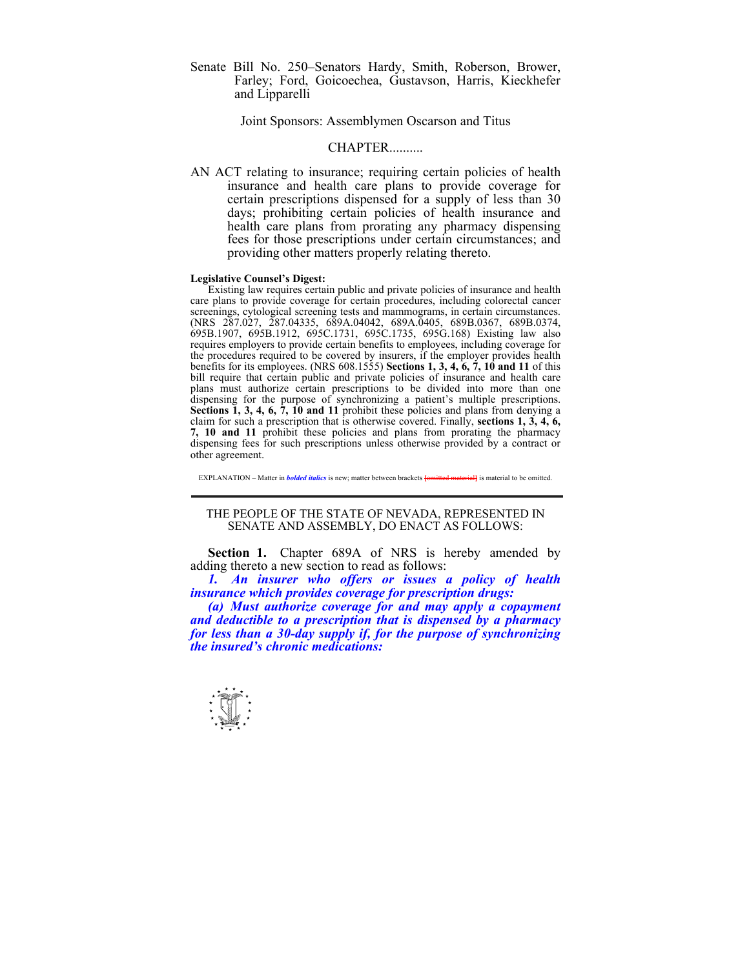Senate Bill No. 250–Senators Hardy, Smith, Roberson, Brower, Farley; Ford, Goicoechea, Gustavson, Harris, Kieckhefer and Lipparelli

Joint Sponsors: Assemblymen Oscarson and Titus

## CHAPTER..........

AN ACT relating to insurance; requiring certain policies of health insurance and health care plans to provide coverage for certain prescriptions dispensed for a supply of less than 30 days; prohibiting certain policies of health insurance and health care plans from prorating any pharmacy dispensing fees for those prescriptions under certain circumstances; and providing other matters properly relating thereto.

## **Legislative Counsel's Digest:**

 Existing law requires certain public and private policies of insurance and health care plans to provide coverage for certain procedures, including colorectal cancer screenings, cytological screening tests and mammograms, in certain circumstances. (NRS 287.027, 287.04335, 689A.04042, 689A.0405, 689B.0367, 689B.0374, 695B.1907, 695B.1912, 695C.1731, 695C.1735, 695G.168) Existing law also requires employers to provide certain benefits to employees, including coverage for the procedures required to be covered by insurers, if the employer provides health benefits for its employees. (NRS 608.1555) **Sections 1, 3, 4, 6, 7, 10 and 11** of this bill require that certain public and private policies of insurance and health care plans must authorize certain prescriptions to be divided into more than one dispensing for the purpose of synchronizing a patient's multiple prescriptions. **Sections 1, 3, 4, 6, 7, 10 and 11** prohibit these policies and plans from denying a claim for such a prescription that is otherwise covered. Finally, **sections 1, 3, 4, 6, 7, 10 and 11** prohibit these policies and plans from prorating the pharmacy dispensing fees for such prescriptions unless otherwise provided by a contract or other agreement.

EXPLANATION – Matter in *bolded italics* is new: matter between brackets *lomitted materiall* is material to be omitted.

## THE PEOPLE OF THE STATE OF NEVADA, REPRESENTED IN SENATE AND ASSEMBLY, DO ENACT AS FOLLOWS:

Section 1. Chapter 689A of NRS is hereby amended by adding thereto a new section to read as follows:

*1. An insurer who offers or issues a policy of health insurance which provides coverage for prescription drugs:* 

 *(a) Must authorize coverage for and may apply a copayment and deductible to a prescription that is dispensed by a pharmacy for less than a 30-day supply if, for the purpose of synchronizing the insured's chronic medications:* 

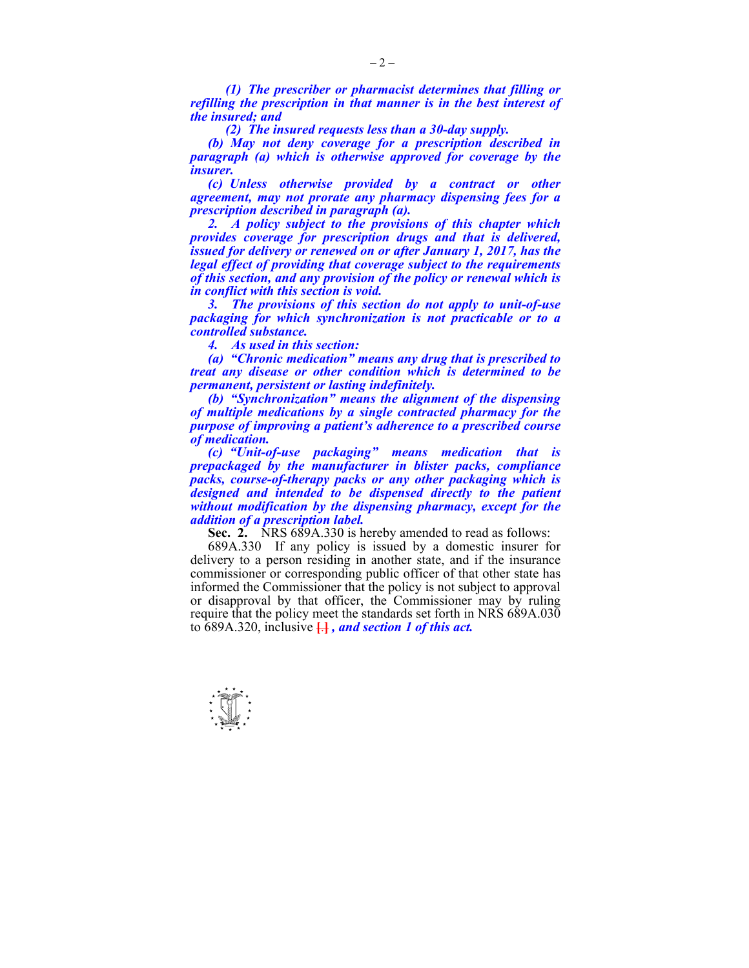*(1) The prescriber or pharmacist determines that filling or refilling the prescription in that manner is in the best interest of the insured; and* 

 *(2) The insured requests less than a 30-day supply.* 

 *(b) May not deny coverage for a prescription described in paragraph (a) which is otherwise approved for coverage by the insurer.* 

 *(c) Unless otherwise provided by a contract or other agreement, may not prorate any pharmacy dispensing fees for a prescription described in paragraph (a).* 

 *2. A policy subject to the provisions of this chapter which provides coverage for prescription drugs and that is delivered, issued for delivery or renewed on or after January 1, 2017, has the legal effect of providing that coverage subject to the requirements of this section, and any provision of the policy or renewal which is in conflict with this section is void.* 

 *3. The provisions of this section do not apply to unit-of-use packaging for which synchronization is not practicable or to a controlled substance.* 

 *4. As used in this section:* 

 *(a) "Chronic medication" means any drug that is prescribed to treat any disease or other condition which is determined to be permanent, persistent or lasting indefinitely.* 

 *(b) "Synchronization" means the alignment of the dispensing of multiple medications by a single contracted pharmacy for the purpose of improving a patient's adherence to a prescribed course of medication.* 

 *(c) "Unit-of-use packaging" means medication that is prepackaged by the manufacturer in blister packs, compliance packs, course-of-therapy packs or any other packaging which is designed and intended to be dispensed directly to the patient without modification by the dispensing pharmacy, except for the addition of a prescription label.* 

**Sec. 2.** NRS 689A.330 is hereby amended to read as follows:

 689A.330 If any policy is issued by a domestic insurer for delivery to a person residing in another state, and if the insurance commissioner or corresponding public officer of that other state has informed the Commissioner that the policy is not subject to approval or disapproval by that officer, the Commissioner may by ruling require that the policy meet the standards set forth in NRS 689A.030 to 689A.320, inclusive **[**.**]** *, and section 1 of this act.* 

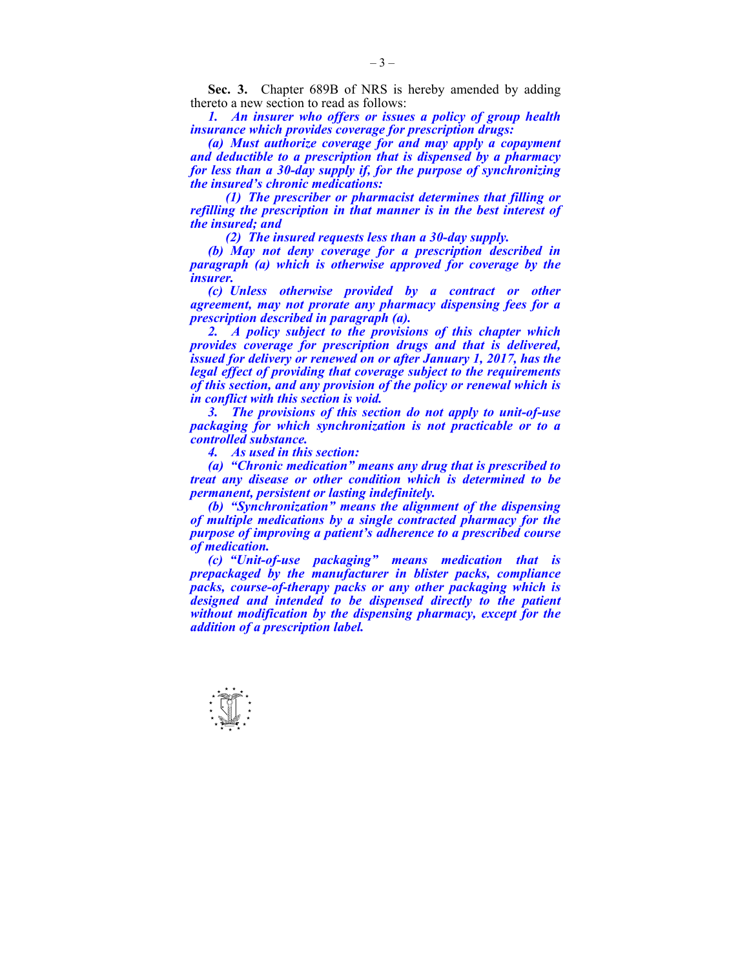**Sec. 3.** Chapter 689B of NRS is hereby amended by adding thereto a new section to read as follows:

 *1. An insurer who offers or issues a policy of group health insurance which provides coverage for prescription drugs:* 

 *(a) Must authorize coverage for and may apply a copayment and deductible to a prescription that is dispensed by a pharmacy for less than a 30-day supply if, for the purpose of synchronizing the insured's chronic medications:* 

 *(1) The prescriber or pharmacist determines that filling or refilling the prescription in that manner is in the best interest of the insured; and* 

 *(2) The insured requests less than a 30-day supply.* 

 *(b) May not deny coverage for a prescription described in paragraph (a) which is otherwise approved for coverage by the insurer.* 

 *(c) Unless otherwise provided by a contract or other agreement, may not prorate any pharmacy dispensing fees for a prescription described in paragraph (a).* 

 *2. A policy subject to the provisions of this chapter which provides coverage for prescription drugs and that is delivered, issued for delivery or renewed on or after January 1, 2017, has the legal effect of providing that coverage subject to the requirements of this section, and any provision of the policy or renewal which is in conflict with this section is void.* 

 *3. The provisions of this section do not apply to unit-of-use packaging for which synchronization is not practicable or to a controlled substance.* 

 *4. As used in this section:* 

 *(a) "Chronic medication" means any drug that is prescribed to treat any disease or other condition which is determined to be permanent, persistent or lasting indefinitely.* 

 *(b) "Synchronization" means the alignment of the dispensing of multiple medications by a single contracted pharmacy for the purpose of improving a patient's adherence to a prescribed course of medication.* 

 *(c) "Unit-of-use packaging" means medication that is prepackaged by the manufacturer in blister packs, compliance packs, course-of-therapy packs or any other packaging which is designed and intended to be dispensed directly to the patient without modification by the dispensing pharmacy, except for the addition of a prescription label.* 

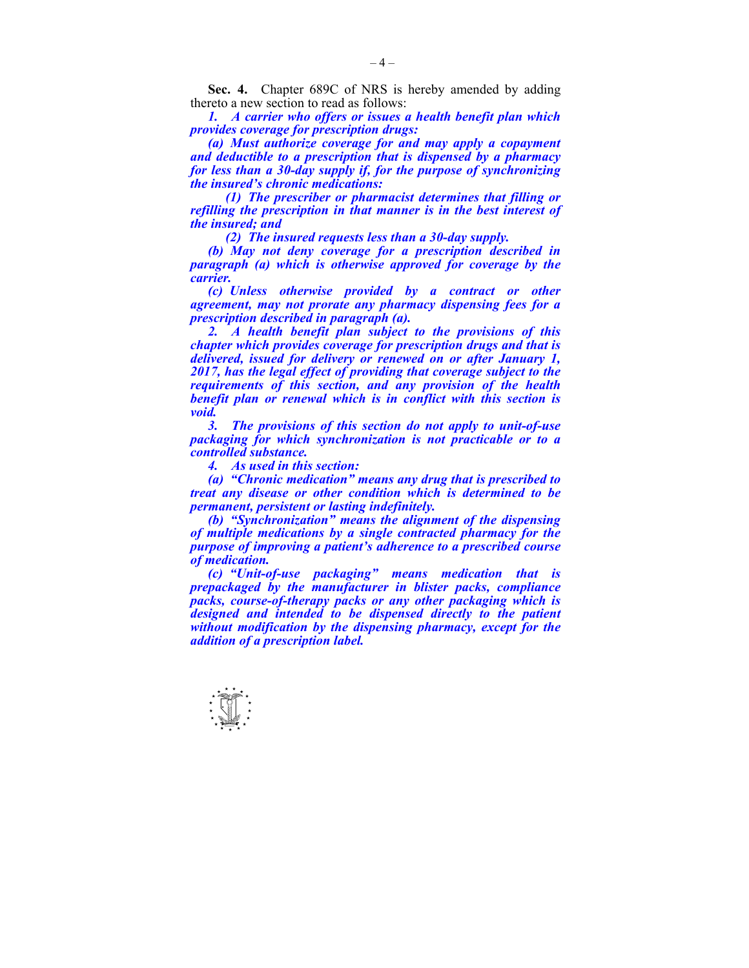**Sec. 4.** Chapter 689C of NRS is hereby amended by adding thereto a new section to read as follows:

 *1. A carrier who offers or issues a health benefit plan which provides coverage for prescription drugs:* 

 *(a) Must authorize coverage for and may apply a copayment and deductible to a prescription that is dispensed by a pharmacy for less than a 30-day supply if, for the purpose of synchronizing the insured's chronic medications:* 

 *(1) The prescriber or pharmacist determines that filling or refilling the prescription in that manner is in the best interest of the insured; and* 

 *(2) The insured requests less than a 30-day supply.* 

 *(b) May not deny coverage for a prescription described in paragraph (a) which is otherwise approved for coverage by the carrier.* 

 *(c) Unless otherwise provided by a contract or other agreement, may not prorate any pharmacy dispensing fees for a prescription described in paragraph (a).* 

 *2. A health benefit plan subject to the provisions of this chapter which provides coverage for prescription drugs and that is delivered, issued for delivery or renewed on or after January 1, 2017, has the legal effect of providing that coverage subject to the requirements of this section, and any provision of the health benefit plan or renewal which is in conflict with this section is void.* 

 *3. The provisions of this section do not apply to unit-of-use packaging for which synchronization is not practicable or to a controlled substance.* 

 *4. As used in this section:* 

 *(a) "Chronic medication" means any drug that is prescribed to treat any disease or other condition which is determined to be permanent, persistent or lasting indefinitely.* 

 *(b) "Synchronization" means the alignment of the dispensing of multiple medications by a single contracted pharmacy for the purpose of improving a patient's adherence to a prescribed course of medication.* 

 *(c) "Unit-of-use packaging" means medication that is prepackaged by the manufacturer in blister packs, compliance packs, course-of-therapy packs or any other packaging which is designed and intended to be dispensed directly to the patient without modification by the dispensing pharmacy, except for the addition of a prescription label.* 

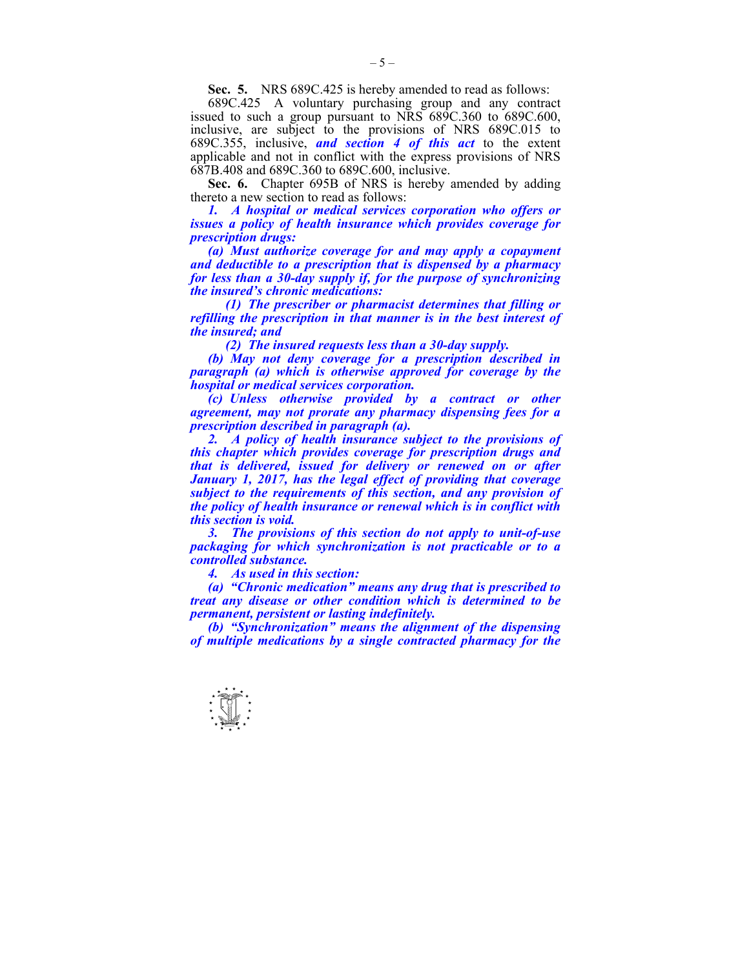**Sec. 5.** NRS 689C.425 is hereby amended to read as follows:

 689C.425 A voluntary purchasing group and any contract issued to such a group pursuant to NRS 689C.360 to 689C.600, inclusive, are subject to the provisions of NRS 689C.015 to 689C.355, inclusive, *and section 4 of this act* to the extent applicable and not in conflict with the express provisions of NRS 687B.408 and 689C.360 to 689C.600, inclusive.

 **Sec. 6.** Chapter 695B of NRS is hereby amended by adding thereto a new section to read as follows:

 *1. A hospital or medical services corporation who offers or issues a policy of health insurance which provides coverage for prescription drugs:* 

 *(a) Must authorize coverage for and may apply a copayment and deductible to a prescription that is dispensed by a pharmacy for less than a 30-day supply if, for the purpose of synchronizing the insured's chronic medications:* 

 *(1) The prescriber or pharmacist determines that filling or refilling the prescription in that manner is in the best interest of the insured; and* 

 *(2) The insured requests less than a 30-day supply.* 

 *(b) May not deny coverage for a prescription described in paragraph (a) which is otherwise approved for coverage by the hospital or medical services corporation.* 

 *(c) Unless otherwise provided by a contract or other agreement, may not prorate any pharmacy dispensing fees for a prescription described in paragraph (a).* 

2. A policy of health insurance subject to the provisions of *this chapter which provides coverage for prescription drugs and that is delivered, issued for delivery or renewed on or after January 1, 2017, has the legal effect of providing that coverage subject to the requirements of this section, and any provision of the policy of health insurance or renewal which is in conflict with this section is void.* 

 *3. The provisions of this section do not apply to unit-of-use packaging for which synchronization is not practicable or to a controlled substance.* 

 *4. As used in this section:* 

 *(a) "Chronic medication" means any drug that is prescribed to treat any disease or other condition which is determined to be permanent, persistent or lasting indefinitely.* 

 *(b) "Synchronization" means the alignment of the dispensing of multiple medications by a single contracted pharmacy for the* 

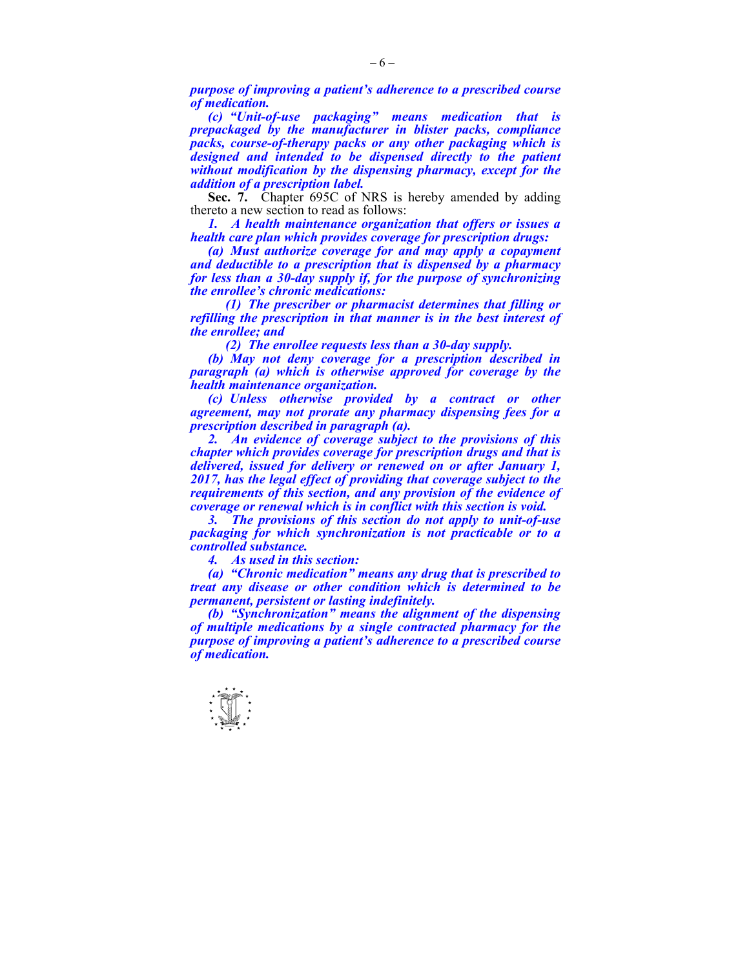*purpose of improving a patient's adherence to a prescribed course of medication.* 

 *(c) "Unit-of-use packaging" means medication that is prepackaged by the manufacturer in blister packs, compliance packs, course-of-therapy packs or any other packaging which is designed and intended to be dispensed directly to the patient without modification by the dispensing pharmacy, except for the addition of a prescription label.* 

**Sec. 7.** Chapter 695C of NRS is hereby amended by adding thereto a new section to read as follows:

*1. A health maintenance organization that offers or issues a health care plan which provides coverage for prescription drugs:* 

 *(a) Must authorize coverage for and may apply a copayment and deductible to a prescription that is dispensed by a pharmacy for less than a 30-day supply if, for the purpose of synchronizing the enrollee's chronic medications:* 

 *(1) The prescriber or pharmacist determines that filling or refilling the prescription in that manner is in the best interest of the enrollee; and* 

 *(2) The enrollee requests less than a 30-day supply.* 

 *(b) May not deny coverage for a prescription described in paragraph (a) which is otherwise approved for coverage by the health maintenance organization.* 

 *(c) Unless otherwise provided by a contract or other agreement, may not prorate any pharmacy dispensing fees for a prescription described in paragraph (a).* 

 *2. An evidence of coverage subject to the provisions of this chapter which provides coverage for prescription drugs and that is delivered, issued for delivery or renewed on or after January 1, 2017, has the legal effect of providing that coverage subject to the requirements of this section, and any provision of the evidence of coverage or renewal which is in conflict with this section is void.* 

 *3. The provisions of this section do not apply to unit-of-use packaging for which synchronization is not practicable or to a controlled substance.* 

 *4. As used in this section:* 

 *(a) "Chronic medication" means any drug that is prescribed to treat any disease or other condition which is determined to be permanent, persistent or lasting indefinitely.* 

 *(b) "Synchronization" means the alignment of the dispensing of multiple medications by a single contracted pharmacy for the purpose of improving a patient's adherence to a prescribed course of medication.* 

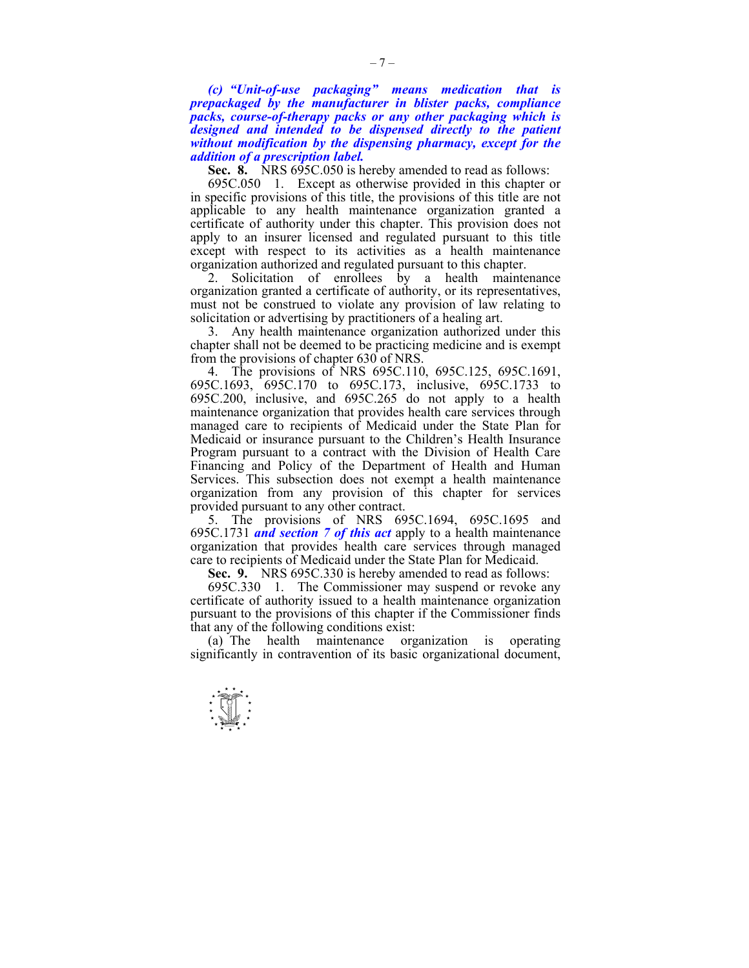*(c) "Unit-of-use packaging" means medication that is prepackaged by the manufacturer in blister packs, compliance packs, course-of-therapy packs or any other packaging which is designed and intended to be dispensed directly to the patient without modification by the dispensing pharmacy, except for the addition of a prescription label.* 

**Sec. 8.** NRS 695C.050 is hereby amended to read as follows:

 695C.050 1. Except as otherwise provided in this chapter or in specific provisions of this title, the provisions of this title are not applicable to any health maintenance organization granted a certificate of authority under this chapter. This provision does not apply to an insurer licensed and regulated pursuant to this title except with respect to its activities as a health maintenance organization authorized and regulated pursuant to this chapter.

 2. Solicitation of enrollees by a health maintenance organization granted a certificate of authority, or its representatives, must not be construed to violate any provision of law relating to solicitation or advertising by practitioners of a healing art.

 3. Any health maintenance organization authorized under this chapter shall not be deemed to be practicing medicine and is exempt from the provisions of chapter 630 of NRS.

 4. The provisions of NRS 695C.110, 695C.125, 695C.1691, 695C.1693, 695C.170 to 695C.173, inclusive, 695C.1733 to 695C.200, inclusive, and 695C.265 do not apply to a health maintenance organization that provides health care services through managed care to recipients of Medicaid under the State Plan for Medicaid or insurance pursuant to the Children's Health Insurance Program pursuant to a contract with the Division of Health Care Financing and Policy of the Department of Health and Human Services. This subsection does not exempt a health maintenance organization from any provision of this chapter for services provided pursuant to any other contract.

 5. The provisions of NRS 695C.1694, 695C.1695 and 695C.1731 *and section 7 of this act* apply to a health maintenance organization that provides health care services through managed care to recipients of Medicaid under the State Plan for Medicaid.

**Sec. 9.** NRS 695C.330 is hereby amended to read as follows:

 695C.330 1. The Commissioner may suspend or revoke any certificate of authority issued to a health maintenance organization pursuant to the provisions of this chapter if the Commissioner finds that any of the following conditions exist:

 (a) The health maintenance organization is operating significantly in contravention of its basic organizational document,

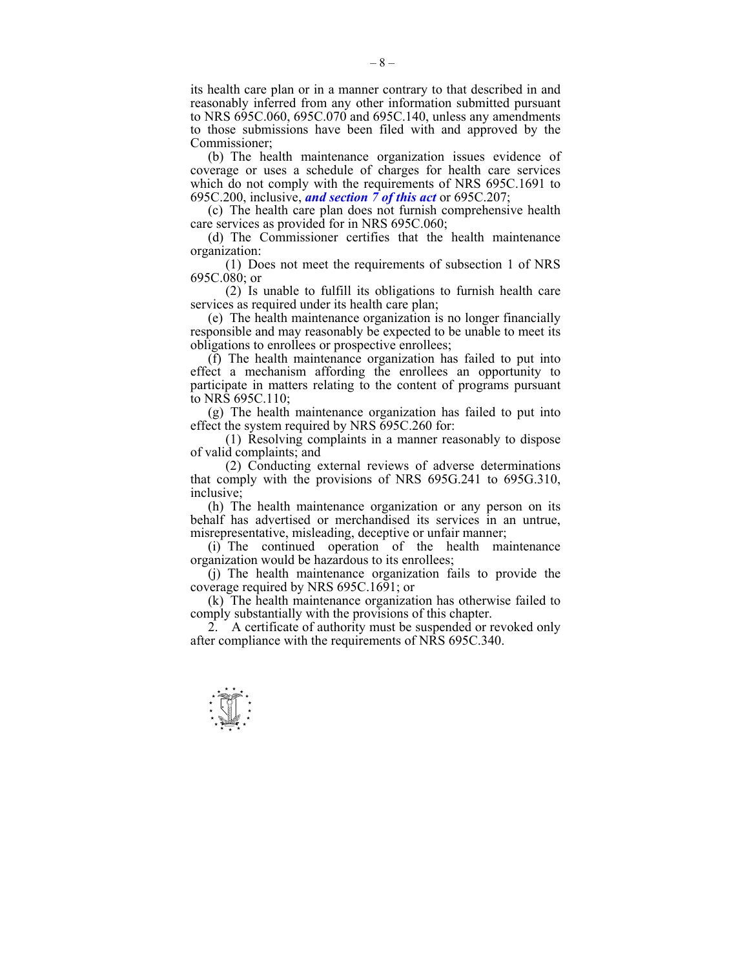its health care plan or in a manner contrary to that described in and reasonably inferred from any other information submitted pursuant to NRS 695C.060, 695C.070 and 695C.140, unless any amendments to those submissions have been filed with and approved by the Commissioner;

 (b) The health maintenance organization issues evidence of coverage or uses a schedule of charges for health care services which do not comply with the requirements of NRS 695C.1691 to 695C.200, inclusive, *and section 7 of this act* or 695C.207;

 (c) The health care plan does not furnish comprehensive health care services as provided for in NRS 695C.060;

 (d) The Commissioner certifies that the health maintenance organization:

 (1) Does not meet the requirements of subsection 1 of NRS 695C.080; or

 (2) Is unable to fulfill its obligations to furnish health care services as required under its health care plan;

 (e) The health maintenance organization is no longer financially responsible and may reasonably be expected to be unable to meet its obligations to enrollees or prospective enrollees;

 (f) The health maintenance organization has failed to put into effect a mechanism affording the enrollees an opportunity to participate in matters relating to the content of programs pursuant to NRS 695C.110;

 (g) The health maintenance organization has failed to put into effect the system required by NRS 695C.260 for:

 (1) Resolving complaints in a manner reasonably to dispose of valid complaints; and

 (2) Conducting external reviews of adverse determinations that comply with the provisions of NRS 695G.241 to 695G.310, inclusive;

 (h) The health maintenance organization or any person on its behalf has advertised or merchandised its services in an untrue, misrepresentative, misleading, deceptive or unfair manner;

 (i) The continued operation of the health maintenance organization would be hazardous to its enrollees;

 (j) The health maintenance organization fails to provide the coverage required by NRS 695C.1691; or

 (k) The health maintenance organization has otherwise failed to comply substantially with the provisions of this chapter.

 2. A certificate of authority must be suspended or revoked only after compliance with the requirements of NRS 695C.340.



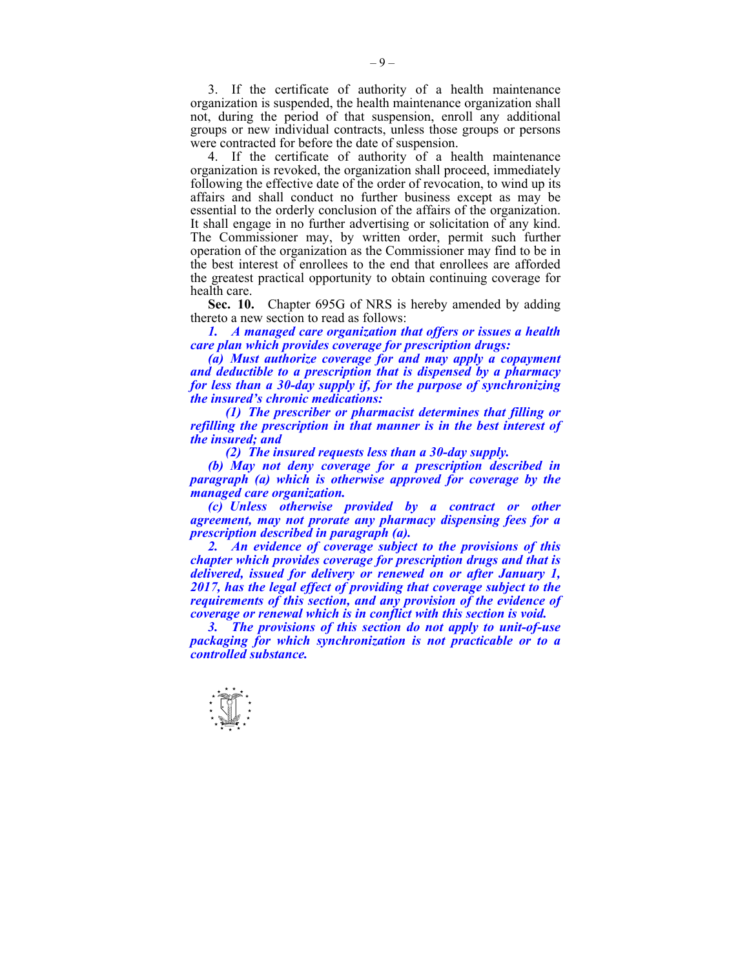3. If the certificate of authority of a health maintenance organization is suspended, the health maintenance organization shall not, during the period of that suspension, enroll any additional groups or new individual contracts, unless those groups or persons were contracted for before the date of suspension.

 4. If the certificate of authority of a health maintenance organization is revoked, the organization shall proceed, immediately following the effective date of the order of revocation, to wind up its affairs and shall conduct no further business except as may be essential to the orderly conclusion of the affairs of the organization. It shall engage in no further advertising or solicitation of any kind. The Commissioner may, by written order, permit such further operation of the organization as the Commissioner may find to be in the best interest of enrollees to the end that enrollees are afforded the greatest practical opportunity to obtain continuing coverage for health care.

 **Sec. 10.** Chapter 695G of NRS is hereby amended by adding thereto a new section to read as follows:

 *1. A managed care organization that offers or issues a health care plan which provides coverage for prescription drugs:* 

 *(a) Must authorize coverage for and may apply a copayment and deductible to a prescription that is dispensed by a pharmacy for less than a 30-day supply if, for the purpose of synchronizing the insured's chronic medications:* 

 *(1) The prescriber or pharmacist determines that filling or refilling the prescription in that manner is in the best interest of the insured; and* 

 *(2) The insured requests less than a 30-day supply.* 

 *(b) May not deny coverage for a prescription described in paragraph (a) which is otherwise approved for coverage by the managed care organization.* 

 *(c) Unless otherwise provided by a contract or other agreement, may not prorate any pharmacy dispensing fees for a prescription described in paragraph (a).* 

 *2. An evidence of coverage subject to the provisions of this chapter which provides coverage for prescription drugs and that is delivered, issued for delivery or renewed on or after January 1, 2017, has the legal effect of providing that coverage subject to the requirements of this section, and any provision of the evidence of coverage or renewal which is in conflict with this section is void.* 

 *3. The provisions of this section do not apply to unit-of-use packaging for which synchronization is not practicable or to a controlled substance.* 

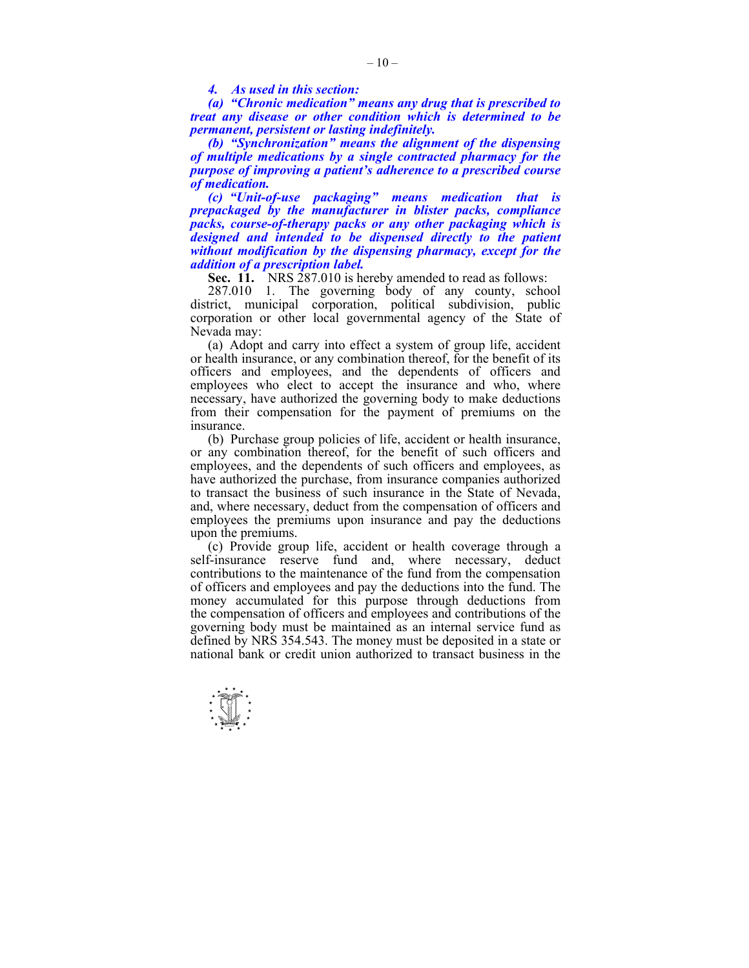*4. As used in this section:* 

 *(a) "Chronic medication" means any drug that is prescribed to treat any disease or other condition which is determined to be permanent, persistent or lasting indefinitely.* 

 *(b) "Synchronization" means the alignment of the dispensing of multiple medications by a single contracted pharmacy for the purpose of improving a patient's adherence to a prescribed course of medication.* 

 *(c) "Unit-of-use packaging" means medication that is prepackaged by the manufacturer in blister packs, compliance packs, course-of-therapy packs or any other packaging which is designed and intended to be dispensed directly to the patient without modification by the dispensing pharmacy, except for the addition of a prescription label.* 

**Sec. 11.** NRS 287.010 is hereby amended to read as follows:

 287.010 1. The governing body of any county, school district, municipal corporation, political subdivision, public corporation or other local governmental agency of the State of Nevada may:

 (a) Adopt and carry into effect a system of group life, accident or health insurance, or any combination thereof, for the benefit of its officers and employees, and the dependents of officers and employees who elect to accept the insurance and who, where necessary, have authorized the governing body to make deductions from their compensation for the payment of premiums on the insurance.

 (b) Purchase group policies of life, accident or health insurance, or any combination thereof, for the benefit of such officers and employees, and the dependents of such officers and employees, as have authorized the purchase, from insurance companies authorized to transact the business of such insurance in the State of Nevada, and, where necessary, deduct from the compensation of officers and employees the premiums upon insurance and pay the deductions upon the premiums.

 (c) Provide group life, accident or health coverage through a self-insurance reserve fund and, where necessary, deduct contributions to the maintenance of the fund from the compensation of officers and employees and pay the deductions into the fund. The money accumulated for this purpose through deductions from the compensation of officers and employees and contributions of the governing body must be maintained as an internal service fund as defined by NRS 354.543. The money must be deposited in a state or national bank or credit union authorized to transact business in the

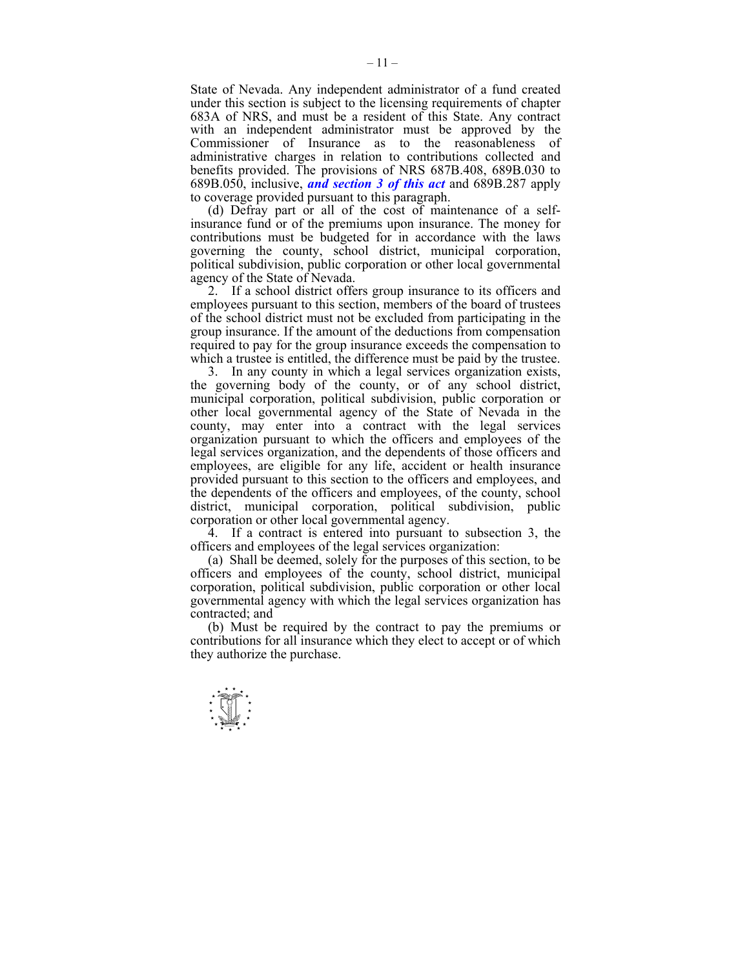State of Nevada. Any independent administrator of a fund created under this section is subject to the licensing requirements of chapter 683A of NRS, and must be a resident of this State. Any contract with an independent administrator must be approved by the Commissioner of Insurance as to the reasonableness of administrative charges in relation to contributions collected and benefits provided. The provisions of NRS 687B.408, 689B.030 to 689B.050, inclusive, *and section 3 of this act* and 689B.287 apply to coverage provided pursuant to this paragraph.

 (d) Defray part or all of the cost of maintenance of a selfinsurance fund or of the premiums upon insurance. The money for contributions must be budgeted for in accordance with the laws governing the county, school district, municipal corporation, political subdivision, public corporation or other local governmental agency of the State of Nevada.

 2. If a school district offers group insurance to its officers and employees pursuant to this section, members of the board of trustees of the school district must not be excluded from participating in the group insurance. If the amount of the deductions from compensation required to pay for the group insurance exceeds the compensation to which a trustee is entitled, the difference must be paid by the trustee.

 3. In any county in which a legal services organization exists, the governing body of the county, or of any school district, municipal corporation, political subdivision, public corporation or other local governmental agency of the State of Nevada in the county, may enter into a contract with the legal services organization pursuant to which the officers and employees of the legal services organization, and the dependents of those officers and employees, are eligible for any life, accident or health insurance provided pursuant to this section to the officers and employees, and the dependents of the officers and employees, of the county, school district, municipal corporation, political subdivision, public corporation or other local governmental agency.

 4. If a contract is entered into pursuant to subsection 3, the officers and employees of the legal services organization:

 (a) Shall be deemed, solely for the purposes of this section, to be officers and employees of the county, school district, municipal corporation, political subdivision, public corporation or other local governmental agency with which the legal services organization has contracted; and

 (b) Must be required by the contract to pay the premiums or contributions for all insurance which they elect to accept or of which they authorize the purchase.